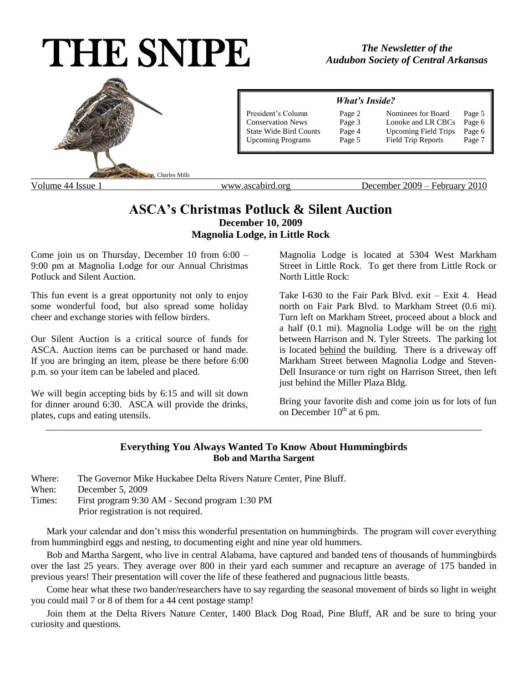# THE SNIPE



### **ASCA's Christmas Potluck & Silent Auction December 10, 2009 Magnolia Lodge, in Little Rock**

Come join us on Thursday, December 10 from 6:00 – 9:00 pm at Magnolia Lodge for our Annual Christmas Potluck and Silent Auction.

This fun event is a great opportunity not only to enjoy some wonderful food, but also spread some holiday cheer and exchange stories with fellow birders.

Our Silent Auction is a critical source of funds for ASCA. Auction items can be purchased or hand made. If you are bringing an item, please be there before 6:00 p.m. so your item can be labeled and placed.

We will begin accepting bids by 6:15 and will sit down for dinner around 6:30. ASCA will provide the drinks, plates, cups and eating utensils.

Magnolia Lodge is located at 5304 West Markham Street in Little Rock. To get there from Little Rock or North Little Rock:

Take I-630 to the Fair Park Blvd. exit – Exit 4. Head north on Fair Park Blvd. to Markham Street (0.6 mi). Turn left on Markham Street, proceed about a block and a half (0.1 mi). Magnolia Lodge will be on the right between Harrison and N. Tyler Streets. The parking lot is located behind the building. There is a driveway off Markham Street between Magnolia Lodge and Steven-Dell Insurance or turn right on Harrison Street, then left just behind the Miller Plaza Bldg.

Bring your favorite dish and come join us for lots of fun on December  $10^{th}$  at 6 pm.

### **Everything You Always Wanted To Know About Hummingbirds Bob and Martha Sargent**

\_\_\_\_\_\_\_\_\_\_\_\_\_\_\_\_\_\_\_\_\_\_\_\_\_\_\_\_\_\_\_\_\_\_\_\_\_\_\_\_\_\_\_\_\_\_\_\_\_\_\_\_\_\_\_\_\_\_\_\_\_\_\_\_\_\_\_\_\_\_\_\_\_\_\_\_\_\_\_\_\_\_\_\_\_\_\_\_\_\_\_\_

Where: The Governor Mike Huckabee Delta Rivers Nature Center, Pine Bluff. When: December 5, 2009 Times: First program 9:30 AM - Second program 1:30 PM Prior registration is not required.

Mark your calendar and don't miss this wonderful presentation on hummingbirds. The program will cover everything from hummingbird eggs and nesting, to documenting eight and nine year old hummers.

Bob and Martha Sargent, who live in central Alabama, have captured and banded tens of thousands of hummingbirds over the last 25 years. They average over 800 in their yard each summer and recapture an average of 175 banded in previous years! Their presentation will cover the life of these feathered and pugnacious little beasts.

Come hear what these two bander/researchers have to say regarding the seasonal movement of birds so light in weight you could mail 7 or 8 of them for a 44 cent postage stamp!

Join them at the Delta Rivers Nature Center, 1400 Black Dog Road, Pine Bluff, AR and be sure to bring your curiosity and questions.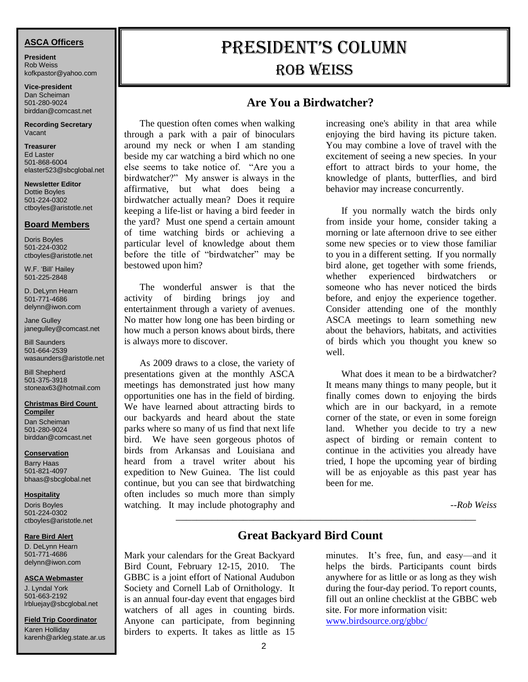### **ASCA Officers**

**President** Rob Weiss kofkpastor@yahoo.com

**Vice-president** Dan Scheiman 501-280-9024 [birddan@comcast.net](mailto:birddan@comcast.net)

**Recording Secretary** Vacant

**Treasurer** Ed Laster 501-868-6004 [elaster523@sbcglobal.net](mailto:elaster523@sbcglobal.net)

**Newsletter Editor** Dottie Boyles 501-224-0302 [ctboyles@aristotle.net](mailto:ctboyles@aristotle.net)

### **Board Members**

Doris Boyles 501-224-0302 [ctboyles@aristotle.net](mailto:ctboyles@aristotle.net)

W.F. 'Bill' Hailey 501-225-2848

D. DeLynn Hearn 501-771-4686 [delynn@iwon.com](mailto:delynn@iwon.com)

Jane Gulley janegulley@comcast.net

Bill Saunders 501-664-2539 wasaunders@aristotle.net

Bill Shepherd 501-375-3918 stoneax63@hotmail.com

#### **Christmas Bird Count Compiler**

Dan Scheiman 501-280-9024 [birddan@comcast.net](mailto:birddan@comcast.net)

#### **Conservation**

Barry Haas 501-821-4097 [bhaas@sbcglobal.net](mailto:bhaas@sbcglobal.net)

#### **Hospitality**

Doris Boyles 501-224-0302 [ctboyles@aristotle.net](mailto:ctboyles@aristotle.net)

#### **Rare Bird Alert**

D. DeLynn Hearn 501-771-4686 [delynn@iwon.com](mailto:delynn@iwon.com)

### **ASCA Webmaster**

J. Lyndal York 501-663-2192 [lrbluejay@sbcglobal.net](mailto:lrbluejay@sbcglobal.net)

### **Field Trip Coordinator**

Karen Holliday [karenh@arkleg.state.ar.us](mailto:karenh@arkleg.state.ar.us)

# President's Column ROB WEISS

### **Are You a Birdwatcher?**

The question often comes when walking through a park with a pair of binoculars around my neck or when I am standing beside my car watching a bird which no one else seems to take notice of. "Are you a birdwatcher?" My answer is always in the affirmative, but what does being a birdwatcher actually mean? Does it require keeping a life-list or having a bird feeder in the yard? Must one spend a certain amount of time watching birds or achieving a particular level of knowledge about them before the title of "birdwatcher" may be bestowed upon him?

The wonderful answer is that the activity of birding brings joy and entertainment through a variety of avenues. No matter how long one has been birding or how much a person knows about birds, there is always more to discover.

As 2009 draws to a close, the variety of presentations given at the monthly ASCA meetings has demonstrated just how many opportunities one has in the field of birding. We have learned about attracting birds to our backyards and heard about the state parks where so many of us find that next life bird. We have seen gorgeous photos of birds from Arkansas and Louisiana and heard from a travel writer about his expedition to New Guinea. The list could continue, but you can see that birdwatching often includes so much more than simply watching. It may include photography and

increasing one's ability in that area while enjoying the bird having its picture taken. You may combine a love of travel with the excitement of seeing a new species. In your effort to attract birds to your home, the knowledge of plants, butterflies, and bird behavior may increase concurrently.

If you normally watch the birds only from inside your home, consider taking a morning or late afternoon drive to see either some new species or to view those familiar to you in a different setting. If you normally bird alone, get together with some friends, whether experienced birdwatchers or someone who has never noticed the birds before, and enjoy the experience together. Consider attending one of the monthly ASCA meetings to learn something new about the behaviors, habitats, and activities of birds which you thought you knew so well.

What does it mean to be a birdwatcher? It means many things to many people, but it finally comes down to enjoying the birds which are in our backyard, in a remote corner of the state, or even in some foreign land. Whether you decide to try a new aspect of birding or remain content to continue in the activities you already have tried, I hope the upcoming year of birding will be as enjoyable as this past year has been for me.

*--Rob Weiss*

# **Great Backyard Bird Count**

\_\_\_\_\_\_\_\_\_\_\_\_\_\_\_\_\_\_\_\_\_\_\_\_\_\_\_\_\_\_\_\_\_\_\_\_\_\_\_\_\_\_\_\_\_\_\_\_\_\_\_\_\_\_\_\_\_\_

Mark your calendars for the Great Backyard Bird Count, February 12-15, 2010. The GBBC is a joint effort of National Audubon Society and Cornell Lab of Ornithology. It is an annual four-day event that engages bird watchers of all ages in counting birds. Anyone can participate, from beginning birders to experts. It takes as little as 15

minutes. It's free, fun, and easy—and it helps the birds. Participants count birds anywhere for as little or as long as they wish during the four-day period. To report counts, fill out an online checklist at the [GBBC web](http://birdsource.org/gbbc)  [site.](http://birdsource.org/gbbc) For more information visit: [www.birdsource.org/gbbc/](http://www.birdsource.org/gbbc/)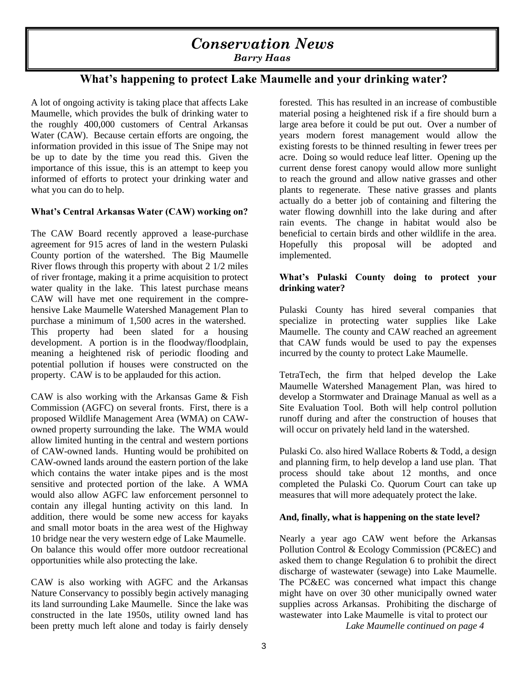# *Conservation News*

*Barry Haas*

# **What's happening to protect Lake Maumelle and your drinking water?**

A lot of ongoing activity is taking place that affects Lake Maumelle, which provides the bulk of drinking water to the roughly 400,000 customers of Central Arkansas Water (CAW). Because certain efforts are ongoing, the information provided in this issue of The Snipe may not be up to date by the time you read this. Given the importance of this issue, this is an attempt to keep you informed of efforts to protect your drinking water and what you can do to help.

### **What's Central Arkansas Water (CAW) working on?**

The CAW Board recently approved a lease-purchase agreement for 915 acres of land in the western Pulaski County portion of the watershed. The Big Maumelle River flows through this property with about 2 1/2 miles of river frontage, making it a prime acquisition to protect water quality in the lake. This latest purchase means CAW will have met one requirement in the comprehensive Lake Maumelle Watershed Management Plan to purchase a minimum of 1,500 acres in the watershed. This property had been slated for a housing development. A portion is in the floodway/floodplain, meaning a heightened risk of periodic flooding and potential pollution if houses were constructed on the property. CAW is to be applauded for this action.

CAW is also working with the Arkansas Game & Fish Commission (AGFC) on several fronts. First, there is a proposed Wildlife Management Area (WMA) on CAWowned property surrounding the lake. The WMA would allow limited hunting in the central and western portions of CAW-owned lands. Hunting would be prohibited on CAW-owned lands around the eastern portion of the lake which contains the water intake pipes and is the most sensitive and protected portion of the lake. A WMA would also allow AGFC law enforcement personnel to contain any illegal hunting activity on this land. In addition, there would be some new access for kayaks and small motor boats in the area west of the Highway 10 bridge near the very western edge of Lake Maumelle. On balance this would offer more outdoor recreational opportunities while also protecting the lake.

CAW is also working with AGFC and the Arkansas Nature Conservancy to possibly begin actively managing its land surrounding Lake Maumelle. Since the lake was constructed in the late 1950s, utility owned land has been pretty much left alone and today is fairly densely forested. This has resulted in an increase of combustible material posing a heightened risk if a fire should burn a large area before it could be put out. Over a number of years modern forest management would allow the existing forests to be thinned resulting in fewer trees per acre. Doing so would reduce leaf litter. Opening up the current dense forest canopy would allow more sunlight to reach the ground and allow native grasses and other plants to regenerate. These native grasses and plants actually do a better job of containing and filtering the water flowing downhill into the lake during and after rain events. The change in habitat would also be beneficial to certain birds and other wildlife in the area. Hopefully this proposal will be adopted and implemented.

### **What's Pulaski County doing to protect your drinking water?**

Pulaski County has hired several companies that specialize in protecting water supplies like Lake Maumelle. The county and CAW reached an agreement that CAW funds would be used to pay the expenses incurred by the county to protect Lake Maumelle.

TetraTech, the firm that helped develop the Lake Maumelle Watershed Management Plan, was hired to develop a Stormwater and Drainage Manual as well as a Site Evaluation Tool. Both will help control pollution runoff during and after the construction of houses that will occur on privately held land in the watershed.

Pulaski Co. also hired Wallace Roberts & Todd, a design and planning firm, to help develop a land use plan. That process should take about 12 months, and once completed the Pulaski Co. Quorum Court can take up measures that will more adequately protect the lake.

### **And, finally, what is happening on the state level?**

Nearly a year ago CAW went before the Arkansas Pollution Control & Ecology Commission (PC&EC) and asked them to change Regulation 6 to prohibit the direct discharge of wastewater (sewage) into Lake Maumelle. The PC&EC was concerned what impact this change might have on over 30 other municipally owned water supplies across Arkansas. Prohibiting the discharge of wastewater into Lake Maumelle is vital to protect our *Lake Maumelle continued on page 4*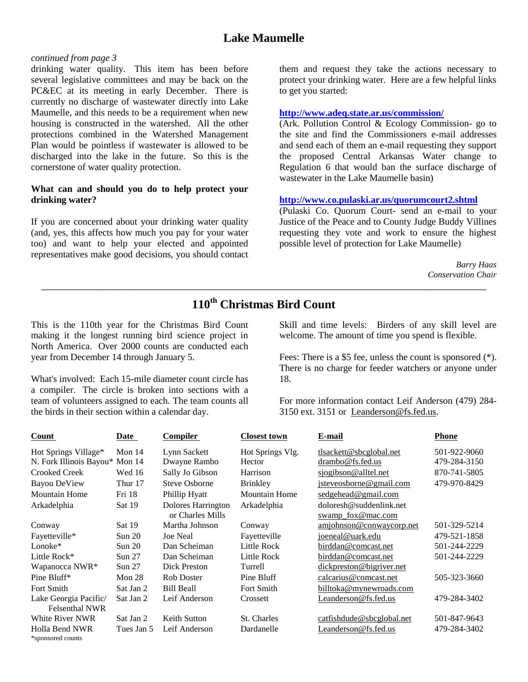# **Lake Maumelle**

### *continued from page 3*

drinking water quality. This item has been before several legislative committees and may be back on the PC&EC at its meeting in early December. There is currently no discharge of wastewater directly into Lake Maumelle, and this needs to be a requirement when new housing is constructed in the watershed. All the other protections combined in the Watershed Management Plan would be pointless if wastewater is allowed to be discharged into the lake in the future. So this is the cornerstone of water quality protection.

### **What can and should you do to help protect your drinking water?**

If you are concerned about your drinking water quality (and, yes, this affects how much you pay for your water too) and want to help your elected and appointed representatives make good decisions, you should contact them and request they take the actions necessary to protect your drinking water. Here are a few helpful links to get you started:

### **<http://www.adeq.state.ar.us/commission/>**

(Ark. Pollution Control & Ecology Commission- go to the site and find the Commissioners e-mail addresses and send each of them an e-mail requesting they support the proposed Central Arkansas Water change to Regulation 6 that would ban the surface discharge of wastewater in the Lake Maumelle basin)

### **<http://www.co.pulaski.ar.us/quorumcourt2.shtml>**

(Pulaski Co. Quorum Court- send an e-mail to your Justice of the Peace and to County Judge Buddy Villines requesting they vote and work to ensure the highest possible level of protection for Lake Maumelle)

> *Barry Haas Conservation Chair*

# **110th Christmas Bird Count**

\_\_\_\_\_\_\_\_\_\_\_\_\_\_\_\_\_\_\_\_\_\_\_\_\_\_\_\_\_\_\_\_\_\_\_\_\_\_\_\_\_\_\_\_\_\_\_\_\_\_\_\_\_\_\_\_\_\_\_\_\_\_\_\_\_\_\_\_\_\_\_\_\_\_\_\_\_\_\_\_\_\_\_\_\_\_

This is the 110th year for the Christmas Bird Count making it the longest running bird science project in North America. Over 2000 counts are conducted each year from December 14 through January 5.

What's involved: Each 15-mile diameter count circle has a compiler. The circle is broken into sections with a team of volunteers assigned to each. The team counts all the birds in their section within a calendar day.

Skill and time levels: Birders of any skill level are welcome. The amount of time you spend is flexible.

Fees: There is a \$5 fee, unless the count is sponsored (\*). There is no charge for feeder watchers or anyone under 18.

For more information contact Leif Anderson (479) 284- 3150 ext. 3151 or Leanderson@[fs.fed.us.](mailto:Leanderson@fs.fed.us)

| Count                          | Date              | <b>Compiler</b>      | <b>Closest town</b>  | E-mail                     | <b>Phone</b> |
|--------------------------------|-------------------|----------------------|----------------------|----------------------------|--------------|
| Hot Springs Village*           | Mon $14$          | Lynn Sackett         | Hot Springs Vlg.     | $t$ lsackett@sbcglobal.net | 501-922-9060 |
| N. Fork Illinois Bayou* Mon 14 |                   | Dwayne Rambo         | Hector               | drambo@fs.fed.us           | 479-284-3150 |
| <b>Crooked Creek</b>           | Wed 16            | Sally Jo Gibson      | Harrison             | sjogibson@alltel.net       | 870-741-5805 |
| <b>Bayou DeView</b>            | Thur 17           | <b>Steve Osborne</b> | <b>Brinkley</b>      | jsteveosborne@gmail.com    | 479-970-8429 |
| <b>Mountain Home</b>           | Fri 18            | Phillip Hyatt        | <b>Mountain Home</b> | sedgehead@gmail.com        |              |
| Arkadelphia                    | Sat 19            | Dolores Harrington   | Arkadelphia          | $d$ oloresh@suddenlink.net |              |
|                                |                   | or Charles Mills     |                      | swamp_fox@mac.com          |              |
| Conway                         | Sat 19            | Martha Johnson       | Conway               | amjohnson@conwaycorp.net   | 501-329-5214 |
| Fayetteville*                  | Sun 20            | <b>Joe Neal</b>      | Fayetteville         | joeneal@uark.edu           | 479-521-1858 |
| Lonoke*                        | Sun 20            | Dan Scheiman         | Little Rock          | birddan@comcast.net        | 501-244-2229 |
| Little Rock*                   | Sun <sub>27</sub> | Dan Scheiman         | Little Rock          | birddan@comcast.net        | 501-244-2229 |
| Wapanocca NWR*                 | Sun 27            | Dick Preston         | Turrell              | dickpreston@bigriver.net   |              |
| Pine Bluff*                    | Mon $28$          | <b>Rob Doster</b>    | Pine Bluff           | calcarius@comcast.net      | 505-323-3660 |
| Fort Smith                     | Sat Jan 2         | <b>Bill Beall</b>    | Fort Smith           | billtoka@mynewroads.com    |              |
| Lake Georgia Pacific/          | Sat Jan 2         | Leif Anderson        | Crossett             | Leanderson@fs.fed.us       | 479-284-3402 |
| <b>Felsenthal NWR</b>          |                   |                      |                      |                            |              |
| White River NWR                | Sat Jan 2         | Keith Sutton         | St. Charles          | catfishdude@sbcglobal.net  | 501-847-9643 |
| <b>Holla Bend NWR</b>          | Tues Jan 5        | Leif Anderson        | Dardanelle           | Leanderson@fs.fed.us       | 479-284-3402 |
| *sponsored counts              |                   |                      |                      |                            |              |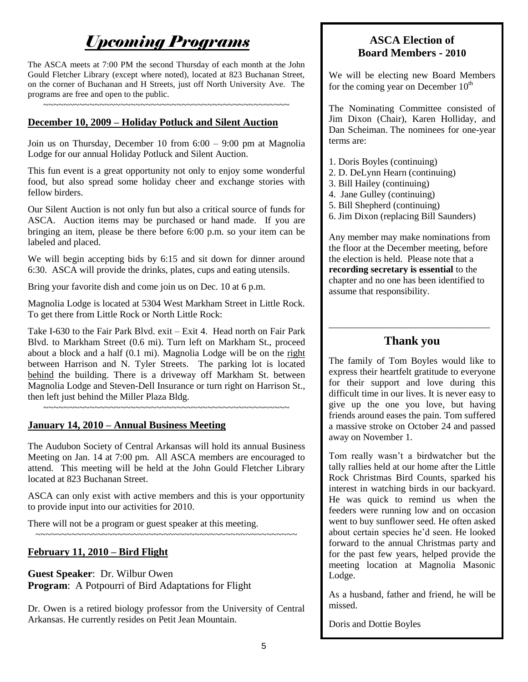# *Upcoming Programs*

The ASCA meets at 7:00 PM the second Thursday of each month at the John Gould Fletcher Library (except where noted), located at 823 Buchanan Street, on the corner of Buchanan and H Streets, just off North University Ave. The programs are free and open to the public.

~~~~~~~~~~~~~~~~~~~~~~~~~~~~~~~~~~~~~~~~~~~~~~~~

# **December 10, 2009 – Holiday Potluck and Silent Auction**

Join us on Thursday, December 10 from 6:00 – 9:00 pm at Magnolia Lodge for our annual Holiday Potluck and Silent Auction.

This fun event is a great opportunity not only to enjoy some wonderful food, but also spread some holiday cheer and exchange stories with fellow birders.

Our Silent Auction is not only fun but also a critical source of funds for ASCA. Auction items may be purchased or hand made. If you are bringing an item, please be there before 6:00 p.m. so your item can be labeled and placed.

We will begin accepting bids by 6:15 and sit down for dinner around 6:30. ASCA will provide the drinks, plates, cups and eating utensils.

Bring your favorite dish and come join us on Dec. 10 at 6 p.m.

Magnolia Lodge is located at 5304 West Markham Street in Little Rock. To get there from Little Rock or North Little Rock:

Take I-630 to the Fair Park Blvd. exit – Exit 4. Head north on Fair Park Blvd. to Markham Street (0.6 mi). Turn left on Markham St., proceed about a block and a half  $(0.1 \text{ mi})$ . Magnolia Lodge will be on the right between Harrison and N. Tyler Streets. The parking lot is located behind the building. There is a driveway off Markham St. between Magnolia Lodge and Steven-Dell Insurance or turn right on Harrison St., then left just behind the Miller Plaza Bldg.

~~~~~~~~~~~~~~~~~~~~~~~~~~~~~~~~~~~~~~~~~~~~~~~~

# **January 14, 2010 – Annual Business Meeting**

The Audubon Society of Central Arkansas will hold its annual Business Meeting on Jan. 14 at 7:00 pm. All ASCA members are encouraged to attend. This meeting will be held at the John Gould Fletcher Library located at 823 Buchanan Street.

ASCA can only exist with active members and this is your opportunity to provide input into our activities for 2010.

There will not be a program or guest speaker at this meeting. ~~~~~~~~~~~~~~~~~~~~~~~~~~~~~~~~~~~~~~~~~~~~~~~~~~~

# **February 11, 2010 – Bird Flight**

**Guest Speaker**:Dr. Wilbur Owen **Program:** A Potpourri of Bird Adaptations for Flight

Dr. Owen is a retired biology professor from the University of Central Arkansas. He currently resides on Petit Jean Mountain.

# **ASCA Election of Board Members - 2010**

We will be electing new Board Members for the coming year on December  $10<sup>th</sup>$ 

The Nominating Committee consisted of Jim Dixon (Chair), Karen Holliday, and Dan Scheiman. The nominees for one-year terms are:

- 1. Doris Boyles (continuing)
- 2. D. DeLynn Hearn (continuing)
- 3. Bill Hailey (continuing)
- 4. Jane Gulley (continuing)
- 5. Bill Shepherd (continuing)
- 6. Jim Dixon (replacing Bill Saunders)

Any member may make nominations from the floor at the December meeting, before the election is held. Please note that a **recording secretary is essential** to the chapter and no one has been identified to assume that responsibility.

### **Thank you**

\_\_\_\_\_\_\_\_\_\_\_\_\_\_\_\_\_\_\_\_\_\_\_\_\_\_\_\_\_\_\_\_\_\_

The family of Tom Boyles would like to express their heartfelt gratitude to everyone for their support and love during this difficult time in our lives. It is never easy to give up the one you love, but having friends around eases the pain. Tom suffered a massive stroke on October 24 and passed away on November 1.

Tom really wasn't a birdwatcher but the tally rallies held at our home after the Little Rock Christmas Bird Counts, sparked his interest in watching birds in our backyard. He was quick to remind us when the feeders were running low and on occasion went to buy sunflower seed. He often asked about certain species he'd seen. He looked forward to the annual Christmas party and for the past few years, helped provide the meeting location at Magnolia Masonic Lodge.

As a husband, father and friend, he will be missed.

Doris and Dottie Boyles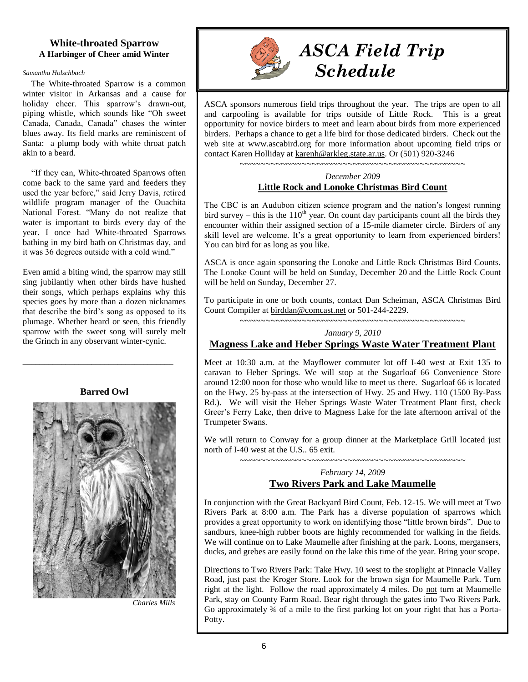### **White-throated Sparrow A Harbinger of Cheer amid Winter**

#### *Samantha Holschbach*

 The White-throated Sparrow is a common winter visitor in Arkansas and a cause for holiday cheer. This sparrow's drawn-out, piping whistle, which sounds like "Oh sweet Canada, Canada, Canada" chases the winter blues away. Its field marks are reminiscent of Santa: a plump body with white throat patch akin to a beard.

 "If they can, White-throated Sparrows often come back to the same yard and feeders they used the year before," said Jerry Davis, retired wildlife program manager of the Ouachita National Forest. "Many do not realize that water is important to birds every day of the year. I once had White-throated Sparrows bathing in my bird bath on Christmas day, and it was 36 degrees outside with a cold wind."

Even amid a biting wind, the sparrow may still sing jubilantly when other birds have hushed their songs, which perhaps explains why this species goes by more than a dozen nicknames that describe the bird's song as opposed to its plumage. Whether heard or seen, this friendly sparrow with the sweet song will surely melt the Grinch in any observant winter-cynic.

**Barred Owl**

\_\_\_\_\_\_\_\_\_\_\_\_\_\_\_\_\_\_\_\_\_\_\_\_\_\_\_\_\_\_\_\_\_\_\_



 *Charles Mills*



# *ASCA Field Trip Schedule*

ASCA sponsors numerous field trips throughout the year. The trips are open to all and carpooling is available for trips outside of Little Rock. This is a great opportunity for novice birders to meet and learn about birds from more experienced birders. Perhaps a chance to get a life bird for those dedicated birders. Check out the web site at [www.ascabird.org](http://www.ascabird.org/) for more information about upcoming field trips or contact Karen Holliday at [karenh@arkleg.state.ar.us.](mailto:karenh@arkleg.state.ar.us) Or (501) 920-3246

~~~~~~~~~~~~~~~~~~~~~~~~~~~~~~~~~~~~~~~~~~~~

### *December 2009* **Little Rock and Lonoke Christmas Bird Count**

The CBC is an Audubon citizen science program and the nation's longest running bird survey – this is the  $110<sup>th</sup>$  year. On count day participants count all the birds they encounter within their assigned section of a 15-mile diameter circle. Birders of any skill level are welcome. It's a great opportunity to learn from experienced birders! You can bird for as long as you like.

ASCA is once again sponsoring the Lonoke and Little Rock Christmas Bird Counts. The Lonoke Count will be held on Sunday, December 20 and the Little Rock Count will be held on Sunday, December 27.

To participate in one or both counts, contact Dan Scheiman, ASCA Christmas Bird Count Compiler at [birddan@comcast.net](mailto:birddan@comcast.net) or 501-244-2229.

 $~~\cdot$ 

### *January 9, 2010* **Magness Lake and Heber Springs Waste Water Treatment Plant**

Meet at 10:30 a.m. at the Mayflower commuter lot off I-40 west at Exit 135 to caravan to Heber Springs. We will stop at the Sugarloaf 66 Convenience Store around 12:00 noon for those who would like to meet us there. Sugarloaf 66 is located on the Hwy. 25 by-pass at the intersection of Hwy. 25 and Hwy. 110 (1500 By-Pass Rd.). We will visit the Heber Springs Waste Water Treatment Plant first, check Greer's Ferry Lake, then drive to Magness Lake for the late afternoon arrival of the Trumpeter Swans.

We will return to Conway for a group dinner at the Marketplace Grill located just north of I-40 west at the U.S.. 65 exit.

### *February 14, 2009* **Two Rivers Park and Lake Maumelle**

 $~\cdots~$ 

In conjunction with the Great Backyard Bird Count, Feb. 12-15. We will meet at Two Rivers Park at 8:00 a.m. The Park has a diverse population of sparrows which provides a great opportunity to work on identifying those "little brown birds". Due to sandburs, knee-high rubber boots are highly recommended for walking in the fields. We will continue on to Lake Maumelle after finishing at the park. Loons, mergansers, ducks, and grebes are easily found on the lake this time of the year. Bring your scope.

Directions to Two Rivers Park: Take Hwy. 10 west to the stoplight at Pinnacle Valley Road, just past the Kroger Store. Look for the brown sign for Maumelle Park. Turn right at the light. Follow the road approximately 4 miles. Do not turn at Maumelle Park, stay on County Farm Road. Bear right through the gates into Two Rivers Park. Go approximately ¾ of a mile to the first parking lot on your right that has a Porta-Potty.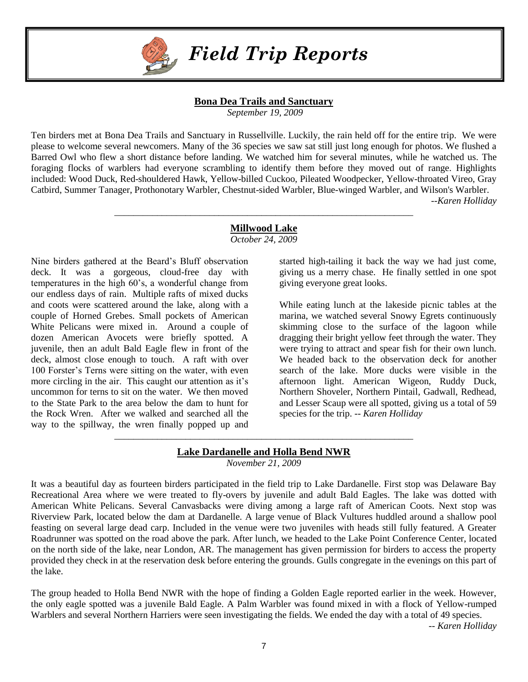

# *Field Trip Reports*

### **Bona Dea Trails and Sanctuary**

*September 19, 2009*

Ten birders met at Bona Dea Trails and Sanctuary in Russellville. Luckily, the rain held off for the entire trip. We were please to welcome several newcomers. Many of the 36 species we saw sat still just long enough for photos. We flushed a Barred Owl who flew a short distance before landing. We watched him for several minutes, while he watched us. The foraging flocks of warblers had everyone scrambling to identify them before they moved out of range. Highlights included: Wood Duck, Red-shouldered Hawk, Yellow-billed Cuckoo, Pileated Woodpecker, Yellow-throated Vireo, Gray Catbird, Summer Tanager, Prothonotary Warbler, Chestnut-sided Warbler, Blue-winged Warbler, and Wilson's Warbler. *--Karen Holliday*

# \_\_\_\_\_\_\_\_\_\_\_\_\_\_\_\_\_\_\_\_\_\_\_\_\_\_\_\_\_\_\_\_\_\_\_\_\_\_\_\_\_\_\_\_\_\_\_\_\_\_\_\_\_\_\_\_\_\_\_\_\_\_\_ **Millwood Lake**

*October 24, 2009*

Nine birders gathered at the Beard's Bluff observation deck. It was a gorgeous, cloud-free day with temperatures in the high 60's, a wonderful change from our endless days of rain. Multiple rafts of mixed ducks and coots were scattered around the lake, along with a couple of Horned Grebes. Small pockets of American White Pelicans were mixed in. Around a couple of dozen American Avocets were briefly spotted. A juvenile, then an adult Bald Eagle flew in front of the deck, almost close enough to touch. A raft with over 100 Forster's Terns were sitting on the water, with even more circling in the air. This caught our attention as it's uncommon for terns to sit on the water. We then moved to the State Park to the area below the dam to hunt for the Rock Wren. After we walked and searched all the way to the spillway, the wren finally popped up and started high-tailing it back the way we had just come, giving us a merry chase. He finally settled in one spot giving everyone great looks.

While eating lunch at the lakeside picnic tables at the marina, we watched several Snowy Egrets continuously skimming close to the surface of the lagoon while dragging their bright yellow feet through the water. They were trying to attract and spear fish for their own lunch. We headed back to the observation deck for another search of the lake. More ducks were visible in the afternoon light. American Wigeon, Ruddy Duck, Northern Shoveler, Northern Pintail, Gadwall, Redhead, and Lesser Scaup were all spotted, giving us a total of 59 species for the trip. *-- Karen Holliday*

# \_\_\_\_\_\_\_\_\_\_\_\_\_\_\_\_\_\_\_\_\_\_\_\_\_\_\_\_\_\_\_\_\_\_\_\_\_\_\_\_\_\_\_\_\_\_\_\_\_\_\_\_\_\_\_\_\_\_\_\_\_\_\_ **Lake Dardanelle and Holla Bend NWR**

*November 21, 2009*

It was a beautiful day as fourteen birders participated in the field trip to Lake Dardanelle. First stop was Delaware Bay Recreational Area where we were treated to fly-overs by juvenile and adult Bald Eagles. The lake was dotted with American White Pelicans. Several Canvasbacks were diving among a large raft of American Coots. Next stop was Riverview Park, located below the dam at Dardanelle. A large venue of Black Vultures huddled around a shallow pool feasting on several large dead carp. Included in the venue were two juveniles with heads still fully featured. A Greater Roadrunner was spotted on the road above the park. After lunch, we headed to the Lake Point Conference Center, located on the north side of the lake, near London, AR. The management has given permission for birders to access the property provided they check in at the reservation desk before entering the grounds. Gulls congregate in the evenings on this part of the lake.

The group headed to Holla Bend NWR with the hope of finding a Golden Eagle reported earlier in the week. However, the only eagle spotted was a juvenile Bald Eagle. A Palm Warbler was found mixed in with a flock of Yellow-rumped Warblers and several Northern Harriers were seen investigating the fields. We ended the day with a total of 49 species.

*-- Karen Holliday*